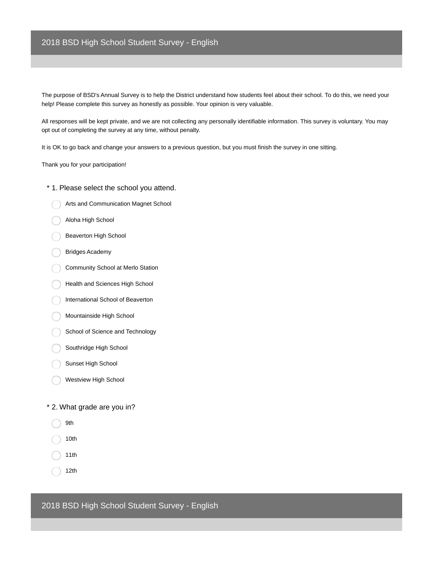## 2018 BSD High School Student Survey - English

The purpose of BSD's Annual Survey is to help the District understand how students feel about their school. To do this, we need your help! Please complete this survey as honestly as possible. Your opinion is very valuable.

All responses will be kept private, and we are not collecting any personally identifiable information. This survey is voluntary. You may opt out of completing the survey at any time, without penalty.

It is OK to go back and change your answers to a previous question, but you must finish the survey in one sitting.

Thank you for your participation!

- \* 1. Please select the school you attend.
	- Arts and Communication Magnet School
	- Aloha High School
	- Beaverton High School
	- Bridges Academy
	- Community School at Merlo Station
	- Health and Sciences High School
	- International School of Beaverton
	- Mountainside High School
	- School of Science and Technology
	- Southridge High School
	- Sunset High School
	- Westview High School

#### \* 2. What grade are you in?

- 9th
- 10th
- 11th
- 12th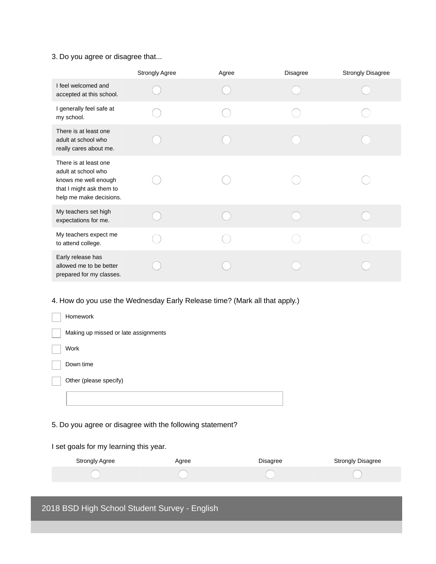### 3. Do you agree or disagree that...

|                                                                                                                             | Strongly Agree | Agree | <b>Disagree</b> | <b>Strongly Disagree</b> |
|-----------------------------------------------------------------------------------------------------------------------------|----------------|-------|-----------------|--------------------------|
| I feel welcomed and<br>accepted at this school.                                                                             |                |       |                 |                          |
| I generally feel safe at<br>my school.                                                                                      |                |       |                 |                          |
| There is at least one<br>adult at school who<br>really cares about me.                                                      |                |       |                 |                          |
| There is at least one<br>adult at school who<br>knows me well enough<br>that I might ask them to<br>help me make decisions. |                |       |                 |                          |
| My teachers set high<br>expectations for me.                                                                                |                |       |                 |                          |
| My teachers expect me<br>to attend college.                                                                                 |                |       |                 |                          |
| Early release has<br>allowed me to be better<br>prepared for my classes.                                                    |                |       |                 |                          |

### 4. How do you use the Wednesday Early Release time? (Mark all that apply.)

| <b>Homework</b>                      |
|--------------------------------------|
| Making up missed or late assignments |
| Work                                 |
| Down time                            |
| Other (please specify)               |
|                                      |

### 5. Do you agree or disagree with the following statement?

### I set goals for my learning this year.

| Strongly Agree | Agree | Disagree | <b>Strongly Disagree</b> |
|----------------|-------|----------|--------------------------|
|                |       |          |                          |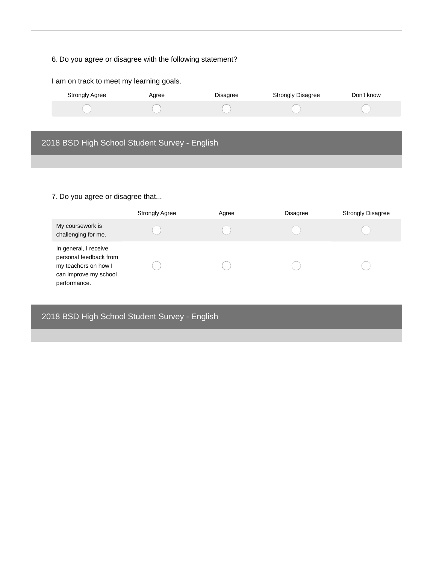# 6. Do you agree or disagree with the following statement?

| I am on track to meet my learning goals.      |       |          |                          |            |
|-----------------------------------------------|-------|----------|--------------------------|------------|
| <b>Strongly Agree</b>                         | Agree | Disagree | <b>Strongly Disagree</b> | Don't know |
|                                               |       |          |                          |            |
|                                               |       |          |                          |            |
| 2018 BSD High School Student Survey - English |       |          |                          |            |
|                                               |       |          |                          |            |
|                                               |       |          |                          |            |

# 7. Do you agree or disagree that...

|                                                                                                                  | <b>Strongly Agree</b> | Agree | <b>Disagree</b> | <b>Strongly Disagree</b> |
|------------------------------------------------------------------------------------------------------------------|-----------------------|-------|-----------------|--------------------------|
| My coursework is<br>challenging for me.                                                                          |                       |       |                 |                          |
| In general, I receive<br>personal feedback from<br>my teachers on how I<br>can improve my school<br>performance. |                       |       |                 |                          |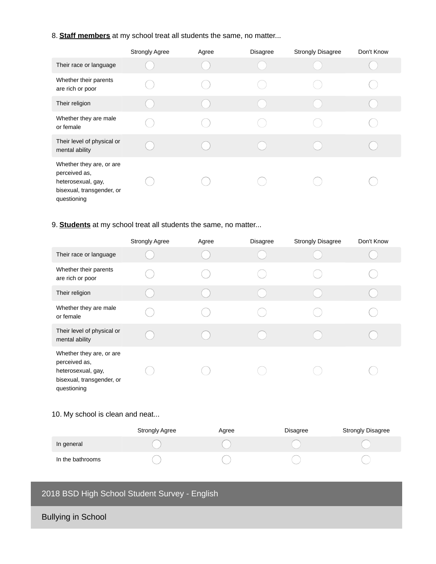### 8. **Staff members** at my school treat all students the same, no matter...

|                                                                                                             | <b>Strongly Agree</b> | Agree | <b>Disagree</b> | <b>Strongly Disagree</b> | Don't Know |
|-------------------------------------------------------------------------------------------------------------|-----------------------|-------|-----------------|--------------------------|------------|
| Their race or language                                                                                      |                       |       |                 |                          |            |
| Whether their parents<br>are rich or poor                                                                   |                       |       |                 |                          |            |
| Their religion                                                                                              |                       |       |                 |                          |            |
| Whether they are male<br>or female                                                                          |                       |       |                 |                          |            |
| Their level of physical or<br>mental ability                                                                |                       |       |                 |                          |            |
| Whether they are, or are<br>perceived as,<br>heterosexual, gay,<br>bisexual, transgender, or<br>questioning |                       |       |                 |                          |            |

## 9. **Students** at my school treat all students the same, no matter...

|                                                                                                             | <b>Strongly Agree</b> | Agree | <b>Disagree</b> | <b>Strongly Disagree</b> | Don't Know |
|-------------------------------------------------------------------------------------------------------------|-----------------------|-------|-----------------|--------------------------|------------|
| Their race or language                                                                                      |                       |       |                 |                          |            |
| Whether their parents<br>are rich or poor                                                                   |                       |       |                 |                          |            |
| Their religion                                                                                              |                       |       |                 |                          |            |
| Whether they are male<br>or female                                                                          |                       |       |                 |                          |            |
| Their level of physical or<br>mental ability                                                                |                       |       |                 |                          |            |
| Whether they are, or are<br>perceived as,<br>heterosexual, gay,<br>bisexual, transgender, or<br>questioning |                       |       |                 |                          |            |

### 10. My school is clean and neat...

|                  | <b>Strongly Agree</b> | Agree | Disagree | <b>Strongly Disagree</b> |
|------------------|-----------------------|-------|----------|--------------------------|
| In general       |                       |       |          |                          |
| In the bathrooms |                       |       |          |                          |

# 2018 BSD High School Student Survey - English

Bullying in School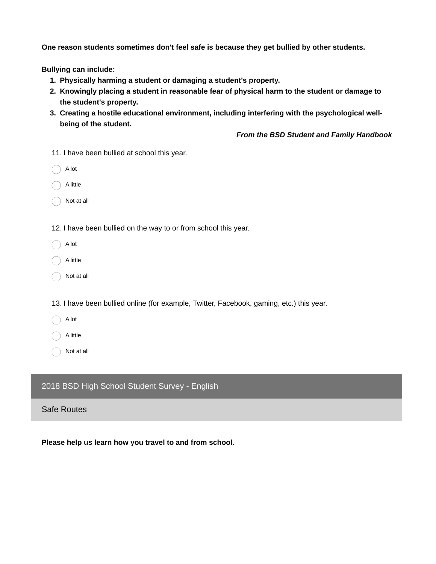**One reason students sometimes don't feel safe is because they get bullied by other students.**

**Bullying can include:**

- **1. Physically harming a student or damaging a student's property.**
- **2. Knowingly placing a student in reasonable fear of physical harm to the student or damage to the student's property.**
- **3. Creating a hostile educational environment, including interfering with the psychological wellbeing of the student.**

*From the BSD Student and Family Handbook*

11. I have been bullied at school this year.

| A lot |
|-------|
|       |

A little

Not at all

12. I have been bullied on the way to or from school this year.

A lot

A little

Not at all

13. I have been bullied online (for example, Twitter, Facebook, gaming, etc.) this year.

A lot

A little

Not at all

### 2018 BSD High School Student Survey - English

### Safe Routes

**Please help us learn how you travel to and from school.**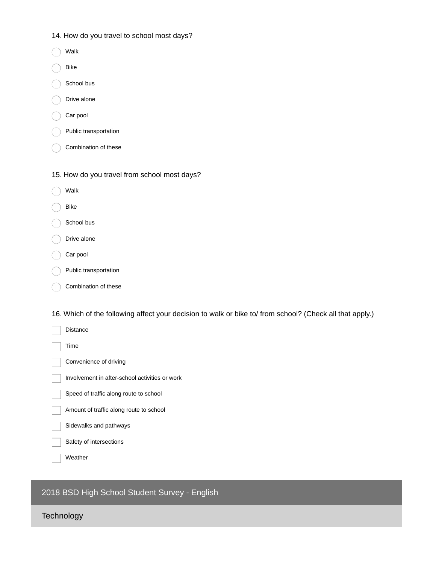- 14. How do you travel to school most days?
- Walk
- Bike
- School bus
- Drive alone
- Car pool
- Public transportation
- Combination of these
- 15. How do you travel from school most days?
- Walk
- Bike
- School bus
- Drive alone
- Car pool
- Public transportation
- Combination of these

16. Which of the following affect your decision to walk or bike to/ from school? (Check all that apply.)



2018 BSD High School Student Survey - English

**Technology**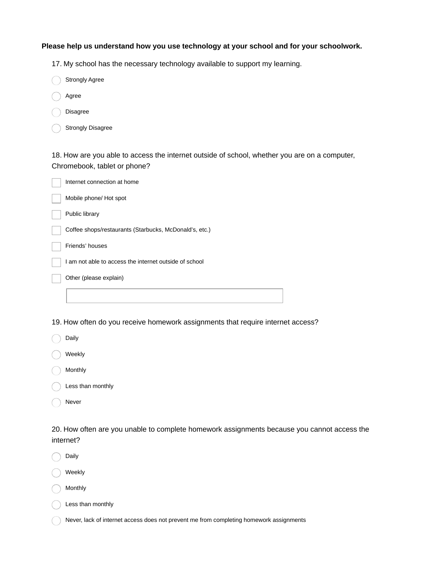#### **Please help us understand how you use technology at your school and for your schoolwork.**

17. My school has the necessary technology available to support my learning.

| <b>Strongly Agree</b> |
|-----------------------|
|                       |

- Agree
- Disagree
- Strongly Disagree

18. How are you able to access the internet outside of school, whether you are on a computer, Chromebook, tablet or phone?

| Internet connection at home                            |
|--------------------------------------------------------|
| Mobile phone/ Hot spot                                 |
| Public library                                         |
| Coffee shops/restaurants (Starbucks, McDonald's, etc.) |
| Friends' houses                                        |
| I am not able to access the internet outside of school |
| Other (please explain)                                 |
|                                                        |

19. How often do you receive homework assignments that require internet access?

| Daily             |
|-------------------|
| Weekly            |
| Monthly           |
| Less than monthly |

Never

20. How often are you unable to complete homework assignments because you cannot access the internet?

Daily

Weekly

Monthly

Less than monthly

Never, lack of internet access does not prevent me from completing homework assignments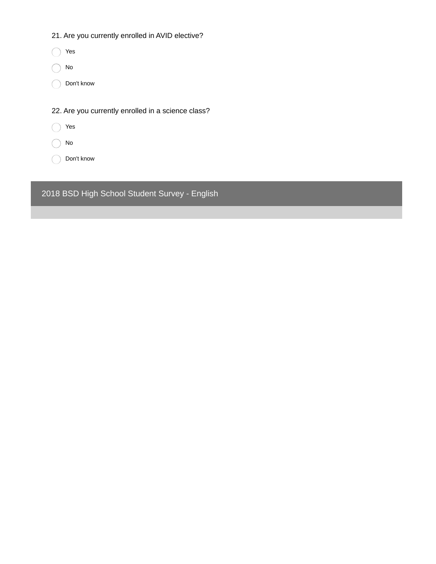|  | 21. Are you currently enrolled in AVID elective? |  |  |  |
|--|--------------------------------------------------|--|--|--|
|--|--------------------------------------------------|--|--|--|

| Yes                                                |
|----------------------------------------------------|
| No                                                 |
| Don't know                                         |
|                                                    |
| 22. Are you currently enrolled in a science class? |
| Yes                                                |
| No                                                 |
| Don't know                                         |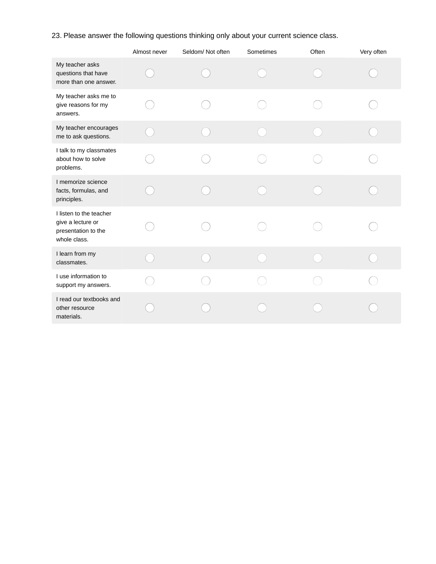23. Please answer the following questions thinking only about your current science class.

|                                                                                     | Almost never | Seldom/Not often | Sometimes | Often | Very often |
|-------------------------------------------------------------------------------------|--------------|------------------|-----------|-------|------------|
| My teacher asks<br>questions that have<br>more than one answer.                     |              |                  |           |       |            |
| My teacher asks me to<br>give reasons for my<br>answers.                            |              |                  |           |       |            |
| My teacher encourages<br>me to ask questions.                                       |              |                  |           |       |            |
| I talk to my classmates<br>about how to solve<br>problems.                          |              |                  |           |       |            |
| I memorize science<br>facts, formulas, and<br>principles.                           |              |                  |           |       |            |
| I listen to the teacher<br>give a lecture or<br>presentation to the<br>whole class. |              |                  |           |       |            |
| I learn from my<br>classmates.                                                      |              |                  |           |       |            |
| I use information to<br>support my answers.                                         |              |                  |           |       |            |
| I read our textbooks and<br>other resource<br>materials.                            |              |                  |           |       |            |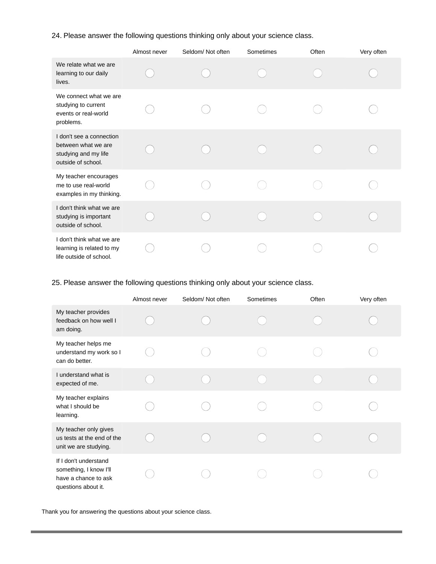24. Please answer the following questions thinking only about your science class.

|                                                                                               | Almost never | Seldom/ Not often | Sometimes | Often | Very often |
|-----------------------------------------------------------------------------------------------|--------------|-------------------|-----------|-------|------------|
| We relate what we are<br>learning to our daily<br>lives.                                      |              |                   |           |       |            |
| We connect what we are<br>studying to current<br>events or real-world<br>problems.            |              |                   |           |       |            |
| I don't see a connection<br>between what we are<br>studying and my life<br>outside of school. |              |                   |           |       |            |
| My teacher encourages<br>me to use real-world<br>examples in my thinking.                     |              |                   |           |       |            |
| I don't think what we are<br>studying is important<br>outside of school.                      |              |                   |           |       |            |
| I don't think what we are<br>learning is related to my<br>life outside of school.             |              |                   |           |       |            |

25. Please answer the following questions thinking only about your science class.

|                                                                                                | Almost never | Seldom/Not often | Sometimes | Often | Very often |
|------------------------------------------------------------------------------------------------|--------------|------------------|-----------|-------|------------|
| My teacher provides<br>feedback on how well I<br>am doing.                                     |              |                  |           |       |            |
| My teacher helps me<br>understand my work so I<br>can do better.                               |              |                  |           |       |            |
| I understand what is<br>expected of me.                                                        |              |                  |           |       |            |
| My teacher explains<br>what I should be<br>learning.                                           |              |                  |           |       |            |
| My teacher only gives<br>us tests at the end of the<br>unit we are studying.                   |              |                  |           |       |            |
| If I don't understand<br>something, I know I'll<br>have a chance to ask<br>questions about it. |              |                  |           |       |            |

Thank you for answering the questions about your science class.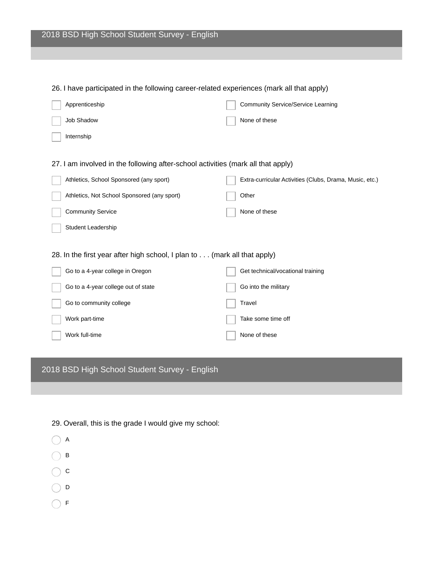| Lo. I have participated in the following career related experiences (main all that apply) |                                                         |
|-------------------------------------------------------------------------------------------|---------------------------------------------------------|
| Apprenticeship                                                                            | <b>Community Service/Service Learning</b>               |
| Job Shadow                                                                                | None of these                                           |
| Internship                                                                                |                                                         |
|                                                                                           |                                                         |
| 27. I am involved in the following after-school activities (mark all that apply)          |                                                         |
| Athletics, School Sponsored (any sport)                                                   | Extra-curricular Activities (Clubs, Drama, Music, etc.) |
| Athletics, Not School Sponsored (any sport)                                               | Other                                                   |
| <b>Community Service</b>                                                                  | None of these                                           |
| <b>Student Leadership</b>                                                                 |                                                         |
|                                                                                           |                                                         |
| 28. In the first year after high school, I plan to (mark all that apply)                  |                                                         |
| Go to a 4-year college in Oregon                                                          | Get technical/vocational training                       |
| Go to a 4-year college out of state                                                       | Go into the military                                    |
| Go to community college                                                                   | Travel                                                  |
| Work part-time                                                                            | Take some time off                                      |
| Work full-time                                                                            | None of these                                           |
|                                                                                           |                                                         |

26. I have participated in the following career-related experiences (mark all that apply)

| 29. Overall, this is the grade I would give my school: |
|--------------------------------------------------------|
| ( ) A                                                  |
| $( )$ B                                                |
| $\left(\begin{array}{c} \end{array}\right)$ C          |

- $\bigcirc$  D
- $\bigcirc$  F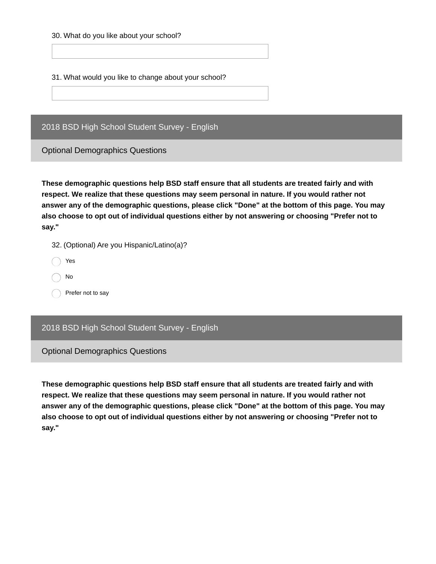30. What do you like about your school?

31. What would you like to change about your school?

2018 BSD High School Student Survey - English

Optional Demographics Questions

**These demographic questions help BSD staff ensure that all students are treated fairly and with respect. We realize that these questions may seem personal in nature. If you would rather not answer any of the demographic questions, please click "Done" at the bottom of this page. You may also choose to opt out of individual questions either by not answering or choosing "Prefer not to say."**

32. (Optional) Are you Hispanic/Latino(a)?

Yes

No

Prefer not to say

### 2018 BSD High School Student Survey - English

Optional Demographics Questions

**These demographic questions help BSD staff ensure that all students are treated fairly and with respect. We realize that these questions may seem personal in nature. If you would rather not answer any of the demographic questions, please click "Done" at the bottom of this page. You may also choose to opt out of individual questions either by not answering or choosing "Prefer not to say."**